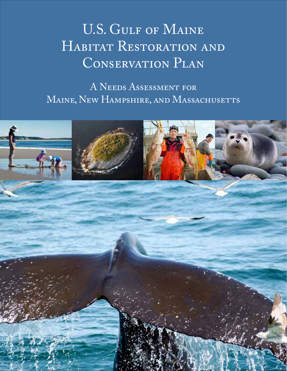# U.S. GULF OF MAINE HABITAT RESTORATION AND CONSERVATION PLAN

A Needs Assessment for MAINE, NEW HAMPSHIRE, AND MASSACHUSETTS

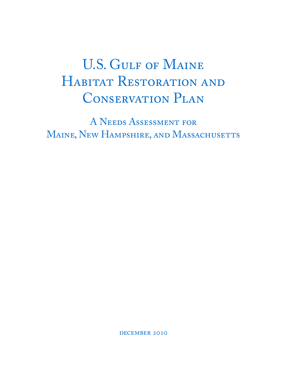# U.S. GULF OF MAINE HABITAT RESTORATION AND CONSERVATION PLAN

A Needs Assessment for MAINE, NEW HAMPSHIRE, AND MASSACHUSETTS

DECEMBER 2010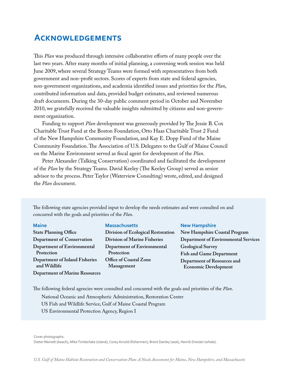## **Acknowledgements**

This *Plan* was produced through intensive collaborative efforts of many people over the last two years. After many months of initial planning, a convening work session was held June 2009, where several Strategy Teams were formed with representatives from both government and non-profit sectors. Scores of experts from state and federal agencies, non-government organizations, and academia identified issues and priorities for the *Plan*, contributed information and data, provided budget estimates, and reviewed numerous draft documents. During the 30-day public comment period in October and November 2010, we gratefully received the valuable insights submitted by citizens and non-government organization.

Funding to support *Plan* development was generously provided by The Jessie B. Cox Charitable Trust Fund at the Boston Foundation, Otto Haas Charitable Trust 2 Fund of the New Hampshire Community Foundation, and Kay E. Dopp Fund of the Maine Community Foundation. The Association of U.S. Delegates to the Gulf of Maine Council on the Marine Environment served as fiscal agent for development of the *Plan*.

Peter Alexander (Talking Conservation) coordinated and facilitated the development of the *Plan* by the Strategy Teams. David Keeley (The Keeley Group) served as senior advisor to the process. Peter Taylor (Waterview Consulting) wrote, edited, and designed the *Plan* document.

The following state agencies provided input to develop the needs estimates and were consulted on and concurred with the goals and priorities of the *Plan*.

#### **Maine**

**State Planning Office Department of Conservation Department of Environmental Protection Department of Inland Fisheries and Wildlife Department of Marine Resources**

#### **Massachusetts**

**Division of Ecological Restoration Division of Marine Fisheries Department of Environmental Protection Office of Coastal Zone Management**

#### **New Hampshire**

**New Hampshire Coastal Program Department of Environmental Services Geological Survey Fish and Game Department Department of Resources and Economic Development**

The following federal agencies were consulted and concurred with the goals and priorities of the *Plan*.

National Oceanic and Atmospheric Administration, Restoration Center US Fish and Wildlife Service, Gulf of Maine Coastal Program US Environmental Protection Agency, Region I

Cover photographs:

Dieter Weinelt (beach), Mike Timberlake (island), Corey Arnold (fishermen), Brent Danley (seal), Henrik Dreisler (whale).

*U.S. Gulf of Maine Habitat Restoration and Conservation Plan: A Needs Assessment for Maine, New Hampshire, and Massachusetts*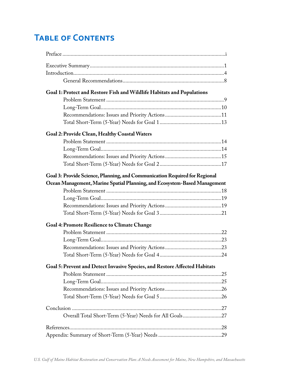## **Table of Contents**

| Goal 1: Protect and Restore Fish and Wildlife Habitats and Populations     |  |  |  |  |
|----------------------------------------------------------------------------|--|--|--|--|
|                                                                            |  |  |  |  |
|                                                                            |  |  |  |  |
|                                                                            |  |  |  |  |
|                                                                            |  |  |  |  |
| Goal 2: Provide Clean, Healthy Coastal Waters                              |  |  |  |  |
|                                                                            |  |  |  |  |
|                                                                            |  |  |  |  |
|                                                                            |  |  |  |  |
|                                                                            |  |  |  |  |
| Goal 3: Provide Science, Planning, and Communication Required for Regional |  |  |  |  |
| Ocean Management, Marine Spatial Planning, and Ecosystem-Based Management  |  |  |  |  |
|                                                                            |  |  |  |  |
|                                                                            |  |  |  |  |
|                                                                            |  |  |  |  |
|                                                                            |  |  |  |  |
| <b>Goal 4: Promote Resilience to Climate Change</b>                        |  |  |  |  |
|                                                                            |  |  |  |  |
|                                                                            |  |  |  |  |
|                                                                            |  |  |  |  |
|                                                                            |  |  |  |  |
| Goal 5: Prevent and Detect Invasive Species, and Restore Affected Habitats |  |  |  |  |
|                                                                            |  |  |  |  |
|                                                                            |  |  |  |  |
|                                                                            |  |  |  |  |
|                                                                            |  |  |  |  |
|                                                                            |  |  |  |  |
|                                                                            |  |  |  |  |
|                                                                            |  |  |  |  |
|                                                                            |  |  |  |  |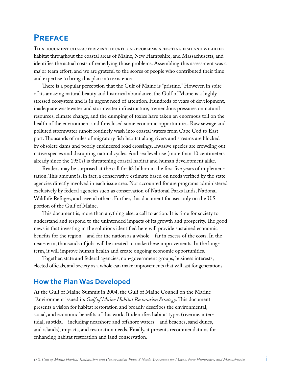## **Preface**

This document characterizes the critical problems affecting fish and wildlife habitat throughout the coastal areas of Maine, New Hampshire, and Massachusetts, and identifies the actual costs of remedying those problems. Assembling this assessment was a major team effort, and we are grateful to the scores of people who contributed their time and expertise to bring this plan into existence.

There is a popular perception that the Gulf of Maine is "pristine." However, in spite of its amazing natural beauty and historical abundance, the Gulf of Maine is a highly stressed ecosystem and is in urgent need of attention. Hundreds of years of development, inadequate wastewater and stormwater infrastructure, tremendous pressures on natural resources, climate change, and the dumping of toxics have taken an enormous toll on the health of the environment and foreclosed some economic opportunities. Raw sewage and polluted stormwater runoff routinely wash into coastal waters from Cape Cod to Eastport. Thousands of miles of migratory fish habitat along rivers and streams are blocked by obsolete dams and poorly engineered road crossings. Invasive species are crowding out native species and disrupting natural cycles. And sea level rise (more than 10 centimeters already since the 1950s) is threatening coastal habitat and human development alike.

Readers may be surprised at the call for \$3 billion in the first five years of implementation. This amount is, in fact, a conservative estimate based on needs verified by the state agencies directly involved in each issue area. Not accounted for are programs administered exclusively by federal agencies such as conservation of National Parks lands, National Wildlife Refuges, and several others. Further, this document focuses only on the U.S. portion of the Gulf of Maine.

This document is, more than anything else, a call to action. It is time for society to understand and respond to the unintended impacts of its growth and prosperity. The good news is that investing in the solutions identified here will provide sustained economic benefits for the region—and for the nation as a whole—far in excess of the costs. In the near-term, thousands of jobs will be created to make these improvements. In the longterm, it will improve human health and create ongoing economic opportunities.

Together, state and federal agencies, non-government groups, business interests, elected officials, and society as a whole can make improvements that will last for generations.

## **How the Plan Was Developed**

At the Gulf of Maine Summit in 2004, the Gulf of Maine Council on the Marine Environment issued its *Gulf of Maine Habitat Restoration Strategy*. This document presents a vision for habitat restoration and broadly describes the environmental, social, and economic benefits of this work. It identifies habitat types (riverine, intertidal, subtidal—including nearshore and offshore waters—and beaches, sand dunes, and islands), impacts, and restoration needs. Finally, it presents recommendations for enhancing habitat restoration and land conservation.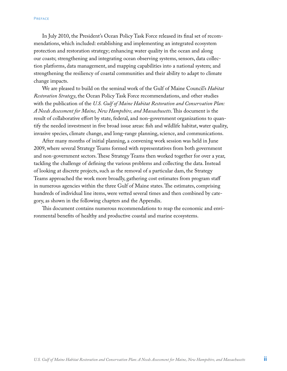In July 2010, the President's Ocean Policy Task Force released its final set of recommendations, which included: establishing and implementing an integrated ecosystem protection and restoration strategy; enhancing water quality in the ocean and along our coasts; strengthening and integrating ocean observing systems, sensors, data collection platforms, data management, and mapping capabilities into a national system; and strengthening the resiliency of coastal communities and their ability to adapt to climate change impacts.

We are pleased to build on the seminal work of the Gulf of Maine Council's *Habitat Restoration Strategy*, the Ocean Policy Task Force recommendations, and other studies with the publication of the *U.S. Gulf of Maine Habitat Restoration and Conservation Plan: A Needs Assessment for Maine, New Hampshire, and Massachusetts*. This document is the result of collaborative effort by state, federal, and non-government organizations to quantify the needed investment in five broad issue areas: fish and wildlife habitat, water quality, invasive species, climate change, and long-range planning, science, and communications.

After many months of initial planning, a convening work session was held in June 2009, where several Strategy Teams formed with representatives from both government and non-government sectors. These Strategy Teams then worked together for over a year, tackling the challenge of defining the various problems and collecting the data. Instead of looking at discrete projects, such as the removal of a particular dam, the Strategy Teams approached the work more broadly, gathering cost estimates from program staff in numerous agencies within the three Gulf of Maine states. The estimates, comprising hundreds of individual line items, were vetted several times and then combined by category, as shown in the following chapters and the Appendix.

This document contains numerous recommendations to reap the economic and environmental benefits of healthy and productive coastal and marine ecosystems.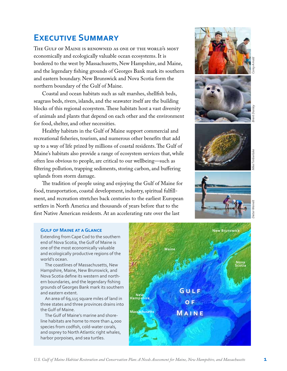## **Executive Summary**

The Gulf of Maine is renowned as one of the world's most economically and ecologically valuable ocean ecosystems. It is bordered to the west by Massachusetts, New Hampshire, and Maine, and the legendary fishing grounds of Georges Bank mark its southern and eastern boundary. New Brunswick and Nova Scotia form the northern boundary of the Gulf of Maine.

Coastal and ocean habitats such as salt marshes, shellfish beds, seagrass beds, rivers, islands, and the seawater itself are the building blocks of this regional ecosystem. These habitats host a vast diversity of animals and plants that depend on each other and the environment for food, shelter, and other necessities.

Healthy habitats in the Gulf of Maine support commercial and recreational fisheries, tourism, and numerous other benefits that add up to a way of life prized by millions of coastal residents. The Gulf of Maine's habitats also provide a range of ecosystem services that, while often less obvious to people, are critical to our wellbeing—such as filtering pollution, trapping sediments, storing carbon, and buffering uplands from storm damage.

The tradition of people using and enjoying the Gulf of Maine for food, transportation, coastal development, industry, spiritual fulfillment, and recreation stretches back centuries to the earliest European settlers in North America and thousands of years before that to the first Native American residents. At an accelerating rate over the last





### **Gulf of Maine at a Glance**

Extending from Cape Cod to the southern end of Nova Scotia, the Gulf of Maine is one of the most economically valuable and ecologically productive regions of the world's ocean.

 The coastlines of Massachusetts, New Hampshire, Maine, New Brunswick, and Nova Scotia define its western and northern boundaries, and the legendary fishing grounds of Georges Bank mark its southern and eastern extent.

 An area of 69,115 square miles of land in three states and three provinces drains into the Gulf of Maine.

 The Gulf of Maine's marine and shoreline habitats are home to more than 4,000 species from codfish, cold-water corals, and osprey to North Atlantic right whales, harbor porpoises, and sea turtles.

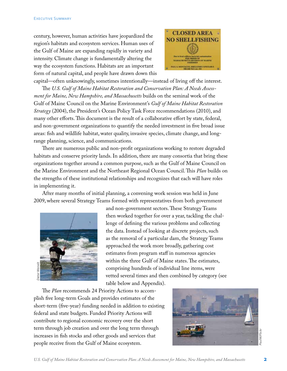century, however, human activities have jeopardized the region's habitats and ecosystem services. Human uses of the Gulf of Maine are expanding rapidly in variety and intensity. Climate change is fundamentally altering the way the ecosystem functions. Habitats are an important form of natural capital, and people have drawn down this



capital—often unknowingly, sometimes intentionally—instead of living off the interest. The *U.S. Gulf of Maine Habitat Restoration and Conservation Plan: A Needs Assessment for Maine, New Hampshire, and Massachusetts* builds on the seminal work of the Gulf of Maine Council on the Marine Environment's *Gulf of Maine Habitat Restoration Strategy* (2004), the President's Ocean Policy Task Force recommendations (2010), and many other efforts. This document is the result of a collaborative effort by state, federal, and non-government organizations to quantify the needed investment in five broad issue areas: fish and wildlife habitat, water quality, invasive species, climate change, and longrange planning, science, and communications.

There are numerous public and non-profit organizations working to restore degraded habitats and conserve priority lands. In addition, there are many consortia that bring these organizations together around a common purpose, such as the Gulf of Maine Council on the Marine Environment and the Northeast Regional Ocean Council. This *Plan* builds on the strengths of these institutional relationships and recognizes that each will have roles in implementing it.

After many months of initial planning, a convening work session was held in June 2009, where several Strategy Teams formed with representatives from both government



and non-government sectors. These Strategy Teams then worked together for over a year, tackling the challenge of defining the various problems and collecting the data. Instead of looking at discrete projects, such as the removal of a particular dam, the Strategy Teams approached the work more broadly, gathering cost estimates from program staff in numerous agencies within the three Gulf of Maine states. The estimates, comprising hundreds of individual line items, were vetted several times and then combined by category (see table below and Appendix).

The *Plan* recommends 24 Priority Actions to accomplish five long-term Goals and provides estimates of the short-term (five-year) funding needed in addition to existing federal and state budgets. Funded Priority Actions will contribute to regional economic recovery over the short term through job creation and over the long term through increases in fish stocks and other goods and services that perfect to the Gulf of Maine existed several time<br>that the Plan recommends 24 Priority Actions to a<br>plish five long-term Goals and provides estimates<br>short-term (five-year) funding needed in addition<br>federal and state budg

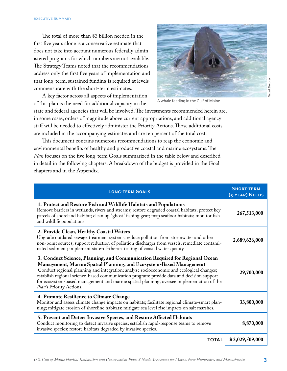The total of more than \$3 billion needed in the first five years alone is a conservative estimate that does not take into account numerous federally administered programs for which numbers are not available. The Strategy Teams noted that the recommendations address only the first five years of implementation and that long-term, sustained funding is required at levels commensurate with the short-term estimates.

A key factor across all aspects of implementation of this plan is the need for additional capacity in the



A whale feeding in the Gulf of Maine.

state and federal agencies that will be involved. The investments recommended herein are, in some cases, orders of magnitude above current appropriations, and additional agency staff will be needed to effectively administer the Priority Actions. Those additional costs are included in the accompanying estimates and are ten percent of the total cost.

This document contains numerous recommendations to reap the economic and environmental benefits of healthy and productive coastal and marine ecosystems. The *Plan* focuses on the five long-term Goals summarized in the table below and described in detail in the following chapters. A breakdown of the budget is provided in the Goal chapters and in the Appendix.

| <b>LONG-TERM GOALS</b>                                                                                                                                                                                                                                                                                                                                                                                                                                               | <b>SHORT-TERM</b><br>(5-YEAR) NEEDS |
|----------------------------------------------------------------------------------------------------------------------------------------------------------------------------------------------------------------------------------------------------------------------------------------------------------------------------------------------------------------------------------------------------------------------------------------------------------------------|-------------------------------------|
| 1. Protect and Restore Fish and Wildlife Habitats and Populations<br>Remove barriers in wetlands, rivers and streams; restore degraded coastal habitats; protect key<br>parcels of shoreland habitat; clean up "ghost" fishing gear; map seafloor habitats; monitor fish<br>and wildlife populations.                                                                                                                                                                | 267,513,000                         |
| 2. Provide Clean, Healthy Coastal Waters<br>Upgrade outdated sewage treatment systems; reduce pollution from stormwater and other<br>non-point sources; support reduction of pollution discharges from vessels; remediate contami-<br>nated sediment; implement state-of-the-art testing of coastal water quality.                                                                                                                                                   | 2,689,626,000                       |
| 3. Conduct Science, Planning, and Communication Required for Regional Ocean<br>Management, Marine Spatial Planning, and Ecosystem-Based Management<br>Conduct regional planning and integration; analyze socioeconomic and ecological changes;<br>establish regional science-based communication program; provide data and decision support<br>for ecosystem-based management and marine spatial planning; oversee implementation of the<br>Plan's Priority Actions. | 29,700,000                          |
| 4. Promote Resilience to Climate Change<br>Monitor and assess climate change impacts on habitats; facilitate regional climate-smart plan-<br>ning; mitigate erosion of shoreline habitats; mitigate sea level rise impacts on salt marshes.                                                                                                                                                                                                                          | 33,800,000                          |
| 5. Prevent and Detect Invasive Species, and Restore Affected Habitats<br>Conduct monitoring to detect invasive species; establish rapid-response teams to remove<br>invasive species; restore habitats degraded by invasive species.                                                                                                                                                                                                                                 | 8,870,000                           |
| <b>TOTAL</b>                                                                                                                                                                                                                                                                                                                                                                                                                                                         | \$3,029,509,000                     |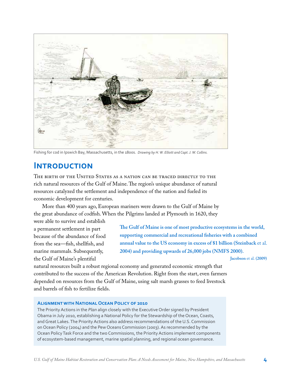

Fishing for cod in Ipswich Bay, Massachusetts, in the 1800s. *Drawing by H. W. Elliott and Capt. J. W. Collins.*

## **Introduction**

The birth of the United States as a nation can be traced directly to the rich natural resources of the Gulf of Maine. The region's unique abundance of natural resources catalyzed the settlement and independence of the nation and fueled its economic development for centuries.

More than 400 years ago, European mariners were drawn to the Gulf of Maine by the great abundance of codfish. When the Pilgrims landed at Plymouth in 1620, they

were able to survive and establish a permanent settlement in part because of the abundance of food from the sea—fish, shellfish, and marine mammals. Subsequently, the Gulf of Maine's plentiful

**The Gulf of Maine is one of most productive ecosystems in the world, supporting commercial and recreational fisheries with a combined annual value to the US economy in excess of \$1 billion (Steinback** et al. **2004) and providing upwards of 26,000 jobs (NMFS 2000).**

**Jacobson** et al. **(2009)**

natural resources built a robust regional economy and generated economic strength that contributed to the success of the American Revolution. Right from the start, even farmers depended on resources from the Gulf of Maine, using salt marsh grasses to feed livestock and barrels of fish to fertilize fields.

### **Alignment with National Ocean Policy of 2010**

The Priority Actions in the *Plan* align closely with the Executive Order signed by President Obama in July 2010, establishing a National Policy for the Stewardship of the Ocean, Coasts, and Great Lakes. The Priority Actions also address recommendations of the U.S. Commission on Ocean Policy (2004) and the Pew Oceans Commission (2003). As recommended by the Ocean Policy Task Force and the two Commissions, the Priority Actions implement components of ecosystem-based management, marine spatial planning, and regional ocean governance.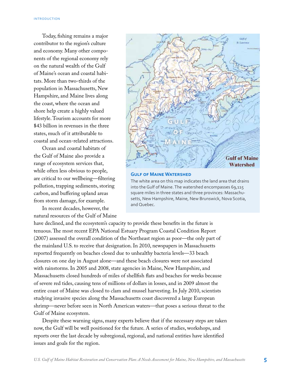Today, fishing remains a major contributor to the region's culture and economy. Many other components of the regional economy rely on the natural wealth of the Gulf of Maine's ocean and coastal habitats. More than two-thirds of the population in Massachusetts, New Hampshire, and Maine lives along the coast, where the ocean and shore help create a highly valued lifestyle. Tourism accounts for more \$43 billion in revenues in the three states, much of it attributable to coastal and ocean-related attractions.

Ocean and coastal habitats of the Gulf of Maine also provide a range of ecosystem services that, while often less obvious to people, are critical to our wellbeing—filtering pollution, trapping sediments, storing carbon, and buffering upland areas from storm damage, for example.

In recent decades, however, the natural resources of the Gulf of Maine



#### **Gulf of Maine Watershed**

The white area on this map indicates the land area that drains into the Gulf of Maine. The watershed encompasses 69,115 square miles in three states and three provinces: Massachusetts, New Hampshire, Maine, New Brunswick, Nova Scotia, and Quebec.

have declined, and the ecosystem's capacity to provide these benefits in the future is tenuous. The most recent EPA National Estuary Program Coastal Condition Report (2007) assessed the overall condition of the Northeast region as poor—the only part of the mainland U.S. to receive that designation. In 2010, newspapers in Massachusetts reported frequently on beaches closed due to unhealthy bacteria levels—33 beach closures on one day in August alone—and these beach closures were not associated with rainstorms. In 2005 and 2008, state agencies in Maine, New Hampshire, and Massachusetts closed hundreds of miles of shellfish flats and beaches for weeks because of severe red tides, causing tens of millions of dollars in losses, and in 2009 almost the entire coast of Maine was closed to clam and mussel harvesting. In July 2010, scientists studying invasive species along the Massachusetts coast discovered a large European shrimp—never before seen in North American waters—that poses a serious threat to the Gulf of Maine ecosystem.

Despite these warning signs, many experts believe that if the necessary steps are taken now, the Gulf will be well positioned for the future. A series of studies, workshops, and reports over the last decade by subregional, regional, and national entities have identified issues and goals for the region.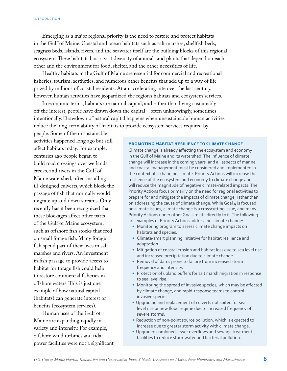Emerging as a major regional priority is the need to restore and protect habitats in the Gulf of Maine. Coastal and ocean habitats such as salt marshes, shellfish beds, seagrass beds, islands, rivers, and the seawater itself are the building blocks of this regional ecosystem. These habitats host a vast diversity of animals and plants that depend on each other and the environment for food, shelter, and the other necessities of life.

Healthy habitats in the Gulf of Maine are essential for commercial and recreational fisheries, tourism, aesthetics, and numerous other benefits that add up to a way of life prized by millions of coastal residents. At an accelerating rate over the last century, however, human activities have jeopardized the region's habitats and ecosystem services.

In economic terms, habitats are natural capital, and rather than living sustainably off the interest, people have drawn down the capital—often unknowingly, sometimes intentionally. Drawdown of natural capital happens when unsustainable human activities reduce the long-term ability of habitats to provide ecosystem services required by

people. Some of the unsustainable activities happened long ago but still affect habitats today. For example, centuries ago people began to build road crossings over wetlands, creeks, and rivers in the Gulf of Maine watershed, often installing ill-designed culverts, which block the passage of fish that normally would migrate up and down streams. Only recently has it been recognized that these blockages affect other parts of the Gulf of Maine ecosystem, such as offshore fish stocks that feed on small forage fish. Many forage fish spend part of their lives in salt marshes and rivers. An investment in fish passage to provide access to habitat for forage fish could help to restore commercial fisheries in offshore waters. This is just one example of how natural capital (habitats) can generate interest or benefits (ecosystem services).

Human uses of the Gulf of Maine are expanding rapidly in variety and intensity. For example, offshore wind turbines and tidal power facilities were not a significant

#### **Promoting Habitat Resilience to Climate Change**

Climate change is already affecting the ecosystem and economy in the Gulf of Maine and its watershed. The influence of climate change will increase in the coming years, and all aspects of marine and coastal management must be considered and implemented in the context of a changing climate. Priority Actions will increase the resilience of the ecosystem and economy to climate change and will reduce the magnitude of negative climate-related impacts. The Priority Actions focus primarily on the need for regional activities to prepare for and mitigate the impacts of climate change, rather than on addressing the cause of climate change. While Goal 4 is focused on climate issues, climate change is a crosscutting issue, and many Priority Actions under other Goals relate directly to it. The following are examples of Priority Actions addressing climate change:

- Monitoring program to assess climate change impacts on habitats and species.
- Climate-smart planning initiative for habitat resilience and adaptation.
- Mitigation of coastal erosion and habitat loss due to sea level rise and increased precipitation due to climate change.
- Removal of dams prone to failure from increased storm frequency and intensity.
- Protection of upland buffers for salt marsh migration in response to sea level rise.
- Monitoring the spread of invasive species, which may be affected by climate change, and rapid-response teams to control invasive species.
- Upgrading and replacement of culverts not suited for sea level rise or new flood regime due to increased frequency of severe storms.
- Reduction of non-point source pollution, which is expected to increase due to greater storm activity with climate change.
- Upgraded combined sewer overflows and sewage treatment facilities to reduce stormwater and bacterial pollution.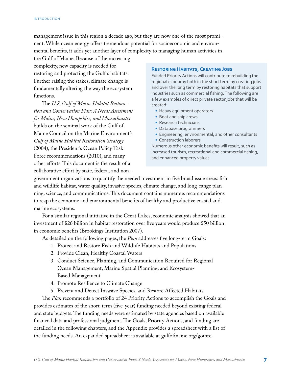management issue in this region a decade ago, but they are now one of the most prominent. While ocean energy offers tremendous potential for socioeconomic and environmental benefits, it adds yet another layer of complexity to managing human activities in

the Gulf of Maine. Because of the increasing complexity, new capacity is needed for restoring and protecting the Gulf 's habitats. Further raising the stakes, climate change is fundamentally altering the way the ecosystem functions.

The *U.S. Gulf of Maine Habitat Restoration and Conservation Plan: A Needs Assessment for Maine, New Hampshire, and Massachusetts*  builds on the seminal work of the Gulf of Maine Council on the Marine Environment's *Gulf of Maine Habitat Restoration Strategy* (2004), the President's Ocean Policy Task Force recommendations (2010), and many other efforts. This document is the result of a collaborative effort by state, federal, and non-

#### **Restoring Habitats, Creating Jobs**

Funded Priority Actions will contribute to rebuilding the regional economy both in the short term by creating jobs and over the long term by restoring habitats that support industries such as commercial fishing. The following are a few examples of direct private sector jobs that will be created:

- Heavy equipment operators
- Boat and ship crews
- Research technicians
- Database programmers
- Engineering, environmental, and other consultants • Construction laborers

Numerous other economic benefits will result, such as increased tourism, recreational and commercial fishing, and enhanced property values.

government organizations to quantify the needed investment in five broad issue areas: fish and wildlife habitat, water quality, invasive species, climate change, and long-range planning, science, and communications. This document contains numerous recommendations to reap the economic and environmental benefits of healthy and productive coastal and marine ecosystems.

For a similar regional initiative in the Great Lakes, economic analysis showed that an investment of \$26 billion in habitat restoration over five years would produce \$50 billion in economic benefits (Brookings Institution 2007).

As detailed on the following pages, the *Plan* addresses five long-term Goals:

- 1. Protect and Restore Fish and Wildlife Habitats and Populations
- 2. Provide Clean, Healthy Coastal Waters
- 3. Conduct Science, Planning, and Communication Required for Regional Ocean Management, Marine Spatial Planning, and Ecosystem-Based Management
- 4. Promote Resilience to Climate Change
- 5. Prevent and Detect Invasive Species, and Restore Affected Habitats

The *Plan* recommends a portfolio of 24 Priority Actions to accomplish the Goals and provides estimates of the short-term (five-year) funding needed beyond existing federal and state budgets. The funding needs were estimated by state agencies based on available financial data and professional judgment. The Goals, Priority Actions, and funding are detailed in the following chapters, and the Appendix provides a spreadsheet with a list of the funding needs. An expanded spreadsheet is available at gulfofmaine.org/gomrc.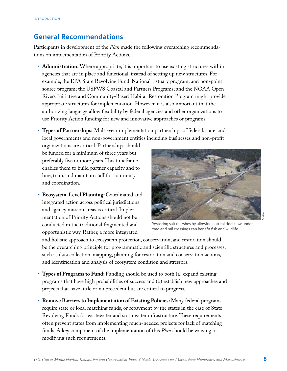## **General Recommendations**

Participants in development of the *Plan* made the following overarching recommendations on implementation of Priority Actions.

- **Administration:** Where appropriate, it is important to use existing structures within agencies that are in place and functional, instead of setting up new structures. For example, the EPA State Revolving Fund, National Estuary program, and non-point source program; the USFWS Coastal and Partners Programs; and the NOAA Open Rivers Initiative and Community-Based Habitat Restoration Program might provide appropriate structures for implementation. However, it is also important that the authorizing language allow flexibility by federal agencies and other organizations to use Priority Action funding for new and innovative approaches or programs.
- • **Types of Partnerships:** Multi-year implementation partnerships of federal, state, and local governments and non-government entities including businesses and non-profit

organizations are critical. Partnerships should be funded for a minimum of three years but preferably five or more years. This timeframe enables them to build partner capacity and to hire, train, and maintain staff for continuity and coordination.

• **Ecosystem-Level Planning:** Coordinated and integrated action across political jurisdictions and agency mission areas is critical. Implementation of Priority Actions should not be conducted in the traditional fragmented and opportunistic way. Rather, a more integrated



Restoring salt marshes by allowing natural tidal flow under road and rail crossings can benefit fish and wildlife.

and holistic approach to ecosystem protection, conservation, and restoration should be the overarching principle for programmatic and scientific structures and processes, such as data collection, mapping, planning for restoration and conservation actions, and identification and analysis of ecosystem condition and stressors.

- • **Types of Programs to Fund:** Funding should be used to both (a) expand existing programs that have high probabilities of success and (b) establish new approaches and projects that have little or no precedent but are critical to progress.
- • **Remove Barriers to Implementation of Existing Policies:** Many federal programs require state or local matching funds, or repayment by the states in the case of State Revolving Funds for wastewater and stormwater infrastructure. These requirements often prevent states from implementing much-needed projects for lack of matching funds. A key component of the implementation of this *Plan* should be waiving or modifying such requirements.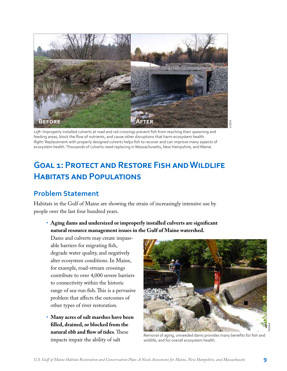

*Left:* Improperly installed culverts at road and rail crossings prevent fish from reaching their spawning and feeding areas, block the flow of nutrients, and cause other disruptions that harm ecosystem health. *Right:* Replacement with properly designed culverts helps fish to recover and can improve many aspects of ecosystem health. Thousands of culverts need replacing in Massachusetts, New Hampshire, and Maine.

## **Goal 1: Protect and Restore Fish and Wildlife Habitats and Populations**

## **Problem Statement**

Habitats in the Gulf of Maine are showing the strain of increasingly intensive use by people over the last four hundred years.

• **Aging dams and undersized or improperly installed culverts are significant natural resource management issues in the Gulf of Maine watershed.** 

Dams and culverts may create impassable barriers for migrating fish, degrade water quality, and negatively alter ecosystem conditions. In Maine, for example, road-stream crossings contribute to over 4,000 severe barriers to connectivity within the historic range of sea-run fish. This is a pervasive problem that affects the outcomes of other types of river restoration.

• **Many acres of salt marshes have been filled, drained, or blocked from the natural ebb and flow of tides**. These impacts impair the ability of salt



Removal of aging, unneeded dams provides many benefits for fish and wildlife, and for overall ecosystem health.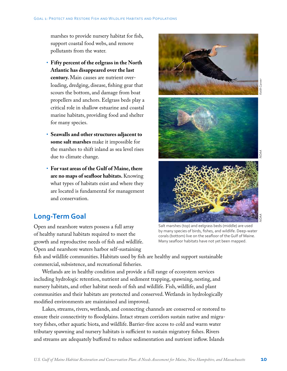marshes to provide nursery habitat for fish, support coastal food webs, and remove pollutants from the water.

- • **Fifty percent of the eelgrass in the North Atlantic has disappeared over the last century.** Main causes are nutrient overloading, dredging, disease, fishing gear that scours the bottom, and damage from boat propellers and anchors. Eelgrass beds play a critical role in shallow estuarine and coastal marine habitats, providing food and shelter for many species.
- • **Seawalls and other structures adjacent to some salt marshes** make it impossible for the marshes to shift inland as sea level rises due to climate change.
- • **For vast areas of the Gulf of Maine, there are no maps of seafloor habitats.** Knowing what types of habitats exist and where they are located is fundamental for management and conservation.

## **Long-Term Goal**

Open and nearshore waters possess a full array of healthy natural habitats required to meet the growth and reproductive needs of fish and wildlife. Open and nearshore waters harbor self-sustaining



Salt marshes (top) and eelgrass beds (middle) are used by many species of birds, fishes, and wildlife. Deep-water corals (bottom) live on the seafloor of the Gulf of Maine. Many seafloor habitats have not yet been mapped.

fish and wildlife communities. Habitats used by fish are healthy and support sustainable commercial, subsistence, and recreational fisheries.

Wetlands are in healthy condition and provide a full range of ecosystem services including hydrologic retention, nutrient and sediment trapping, spawning, nesting, and nursery habitats, and other habitat needs of fish and wildlife. Fish, wildlife, and plant communities and their habitats are protected and conserved. Wetlands in hydrologically modified environments are maintained and improved.

Lakes, streams, rivers, wetlands, and connecting channels are conserved or restored to ensure their connectivity to floodplains. Intact stream corridors sustain native and migratory fishes, other aquatic biota, and wildlife. Barrier-free access to cold and warm water tributary spawning and nursery habitats is sufficient to sustain migratory fishes. Rivers and streams are adequately buffered to reduce sedimentation and nutrient inflow. Islands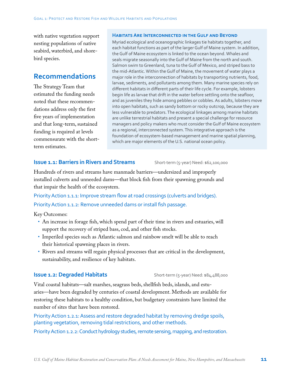with native vegetation support nesting populations of native seabird, waterbird, and shorebird species.

### **Recommendations**

The Strategy Team that estimated the funding needs noted that these recommendations address only the first five years of implementation and that long-term, sustained funding is required at levels commensurate with the shortterm estimates.

#### **Habitats Are Interconnected in the Gulf and Beyond**

Myriad ecological and oceanographic linkages tie habitats together, and each habitat functions as part of the larger Gulf of Maine system. In addition, the Gulf of Maine ecosystem is linked to the ocean beyond. Whales and seals migrate seasonally into the Gulf of Maine from the north and south. Salmon swim to Greenland, tuna to the Gulf of Mexico, and striped bass to the mid-Atlantic. Within the Gulf of Maine, the movement of water plays a major role in the interconnection of habitats by transporting nutrients, food, larvae, sediments, and pollutants among them. Many marine species rely on different habitats in different parts of their life cycle. For example, lobsters begin life as larvae that drift in the water before settling onto the seafloor, and as juveniles they hide among pebbles or cobbles. As adults, lobsters move into open habitats, such as sandy bottom or rocky outcrop, because they are less vulnerable to predators. The ecological linkages among marine habitats are unlike terrestrial habitats and present a special challenge for resource managers and policy makers who must consider the Gulf of Maine ecosystem as a regional, interconnected system. This integrative approach is the foundation of ecosystem-based management and marine spatial planning, which are major elements of the U.S. national ocean policy.

### **Issue 1.1: Barriers in Rivers and Streams** Short-term (5-year) Need: \$62,100,000

Hundreds of rivers and streams have manmade barriers—undersized and improperly installed culverts and unneeded dams—that block fish from their spawning grounds and that impair the health of the ecosystem.

Priority Action 1.1.1: Improve stream flow at road crossings (culverts and bridges). Priority Action 1.1.2: Remove unneeded dams or install fish passage.

Key Outcomes:

- An increase in forage fish, which spend part of their time in rivers and estuaries, will support the recovery of striped bass, cod, and other fish stocks.
- Imperiled species such as Atlantic salmon and rainbow smelt will be able to reach their historical spawning places in rivers.
- • Rivers and streams will regain physical processes that are critical in the development, sustainability, and resilience of key habitats.

### **Issue 1.2: Degraded Habitats** Short-term (5-year) Need: \$84,488,000

Vital coastal habitats—salt marshes, seagrass beds, shellfish beds, islands, and estuaries—have been degraded by centuries of coastal development. Methods are available for restoring these habitats to a healthy condition, but budgetary constraints have limited the number of sites that have been restored.

Priority Action 1.2.1: Assess and restore degraded habitat by removing dredge spoils, planting vegetation, removing tidal restrictions, and other methods.

Priority Action 1.2.2: Conduct hydrology studies, remote sensing, mapping, and restoration.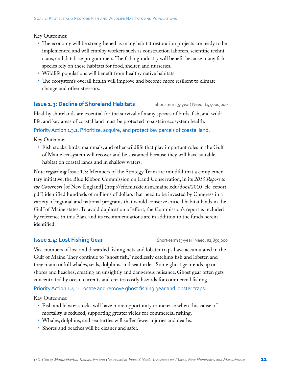Key Outcomes:

- The economy will be strengthened as many habitat restoration projects are ready to be implemented and will employ workers such as construction laborers, scientific technicians, and database programmers. The fishing industry will benefit because many fish species rely on these habitats for food, shelter, and nurseries.
- Wildlife populations will benefit from healthy native habitats.
- • The ecosystem's overall health will improve and become more resilient to climate change and other stressors.

### **Issue 1.3: Decline of Shoreland Habitats** Short-term (5-year) Need: \$47,000,000

Healthy shorelands are essential for the survival of many species of birds, fish, and wildlife, and key areas of coastal land must be protected to sustain ecosystem health.

Priority Action 1.3.1: Prioritize, acquire, and protect key parcels of coastal land.

Key Outcome:

• Fish stocks, birds, mammals, and other wildlife that play important roles in the Gulf of Maine ecosystem will recover and be sustained because they will have suitable habitat on coastal lands and in shallow waters.

Note regarding Issue 1.3: Members of the Strategy Team are mindful that a complementary initiative, the Blue Ribbon Commission on Land Conservation, in its *2010 Report to the Governors* [of New England] (http://efc.muskie.usm.maine.edu/docs/2010\_clc\_report. pdf ) identified hundreds of millions of dollars that need to be invested by Congress in a variety of regional and national programs that would conserve critical habitat lands in the Gulf of Maine states. To avoid duplication of effort, the Commission's report is included by reference in this Plan, and its recommendations are in addition to the funds herein identified.

### **Issue 1.4: Lost Fishing Gear** Short-term (5-year) Need: \$2,850,000

Vast numbers of lost and discarded fishing nets and lobster traps have accumulated in the Gulf of Maine. They continue to "ghost fish," needlessly catching fish and lobster, and they maim or kill whales, seals, dolphins, and sea turtles. Some ghost gear ends up on shores and beaches, creating an unsightly and dangerous nuisance. Ghost gear often gets concentrated by ocean currents and creates costly hazards for commercial fishing

Priority Action 1.4.1: Locate and remove ghost fishing gear and lobster traps.

Key Outcomes:

- Fish and lobster stocks will have more opportunity to increase when this cause of mortality is reduced, supporting greater yields for commercial fishing.
- Whales, dolphins, and sea turtles will suffer fewer injuries and deaths.
- Shores and beaches will be cleaner and safer.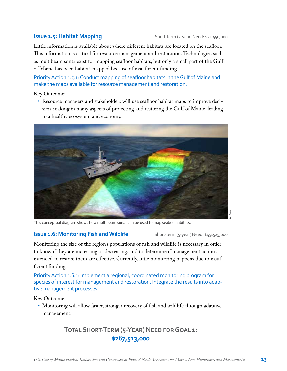### **Issue 1.5: Habitat Mapping** Short-term (5-year) Need: \$21,550,000

Little information is available about where different habitats are located on the seafloor. This information is critical for resource management and restoration. Technologies such as multibeam sonar exist for mapping seafloor habitats, but only a small part of the Gulf of Maine has been habitat-mapped because of insufficient funding.

Priority Action 1.5.1: Conduct mapping of seafloor habitats in the Gulf of Maine and make the maps available for resource management and restoration.

Key Outcome:

• Resource managers and stakeholders will use seafloor habitat maps to improve decision-making in many aspects of protecting and restoring the Gulf of Maine, leading to a healthy ecosystem and economy.



This conceptual diagram shows how multibeam sonar can be used to map seabed habitats.

### **Issue 1.6: Monitoring Fish and Wildlife** Short-term (5-year) Need: \$49,525,000

Monitoring the size of the region's populations of fish and wildlife is necessary in order to know if they are increasing or decreasing, and to determine if management actions intended to restore them are effective. Currently, little monitoring happens due to insufficient funding.

Priority Action 1.6.1: Implement a regional, coordinated monitoring program for species of interest for management and restoration. Integrate the results into adaptive management processes.

Key Outcome:

• Monitoring will allow faster, stronger recovery of fish and wildlife through adaptive management.

## **Total Short-Term (5-Year) Need for Goal 1: \$267,513,000**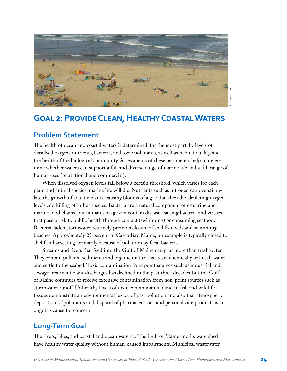

## **Goal 2: Provide Clean, Healthy Coastal Waters**

## **Problem Statement**

The health of ocean and coastal waters is determined, for the most part, by levels of dissolved oxygen, nutrients, bacteria, and toxic pollutants, as well as habitat quality and the health of the biological community. Assessments of these parameters help to determine whether waters can support a full and diverse range of marine life and a full range of human uses (recreational and commercial).

When dissolved oxygen levels fall below a certain threshold, which varies for each plant and animal species, marine life will die. Nutrients such as nitrogen can overstimulate the growth of aquatic plants, causing blooms of algae that then die, depleting oxygen levels and killing off other species. Bacteria are a natural component of estuarine and marine food chains, but human sewage can contain disease-causing bacteria and viruses that pose a risk to public health through contact (swimming) or consuming seafood. Bacteria-laden stormwater routinely prompts closure of shellfish beds and swimming beaches. Approximately 25 percent of Casco Bay, Maine, for example is typically closed to shellfish harvesting, primarily because of pollution by fecal bacteria.

Streams and rivers that feed into the Gulf of Maine carry far more than fresh water. They contain polluted sediments and organic matter that react chemically with salt water and settle to the seabed. Toxic contamination from point sources such as industrial and sewage treatment plant discharges has declined in the past three decades, but the Gulf of Maine continues to receive extensive contamination from non-point sources such as stormwater runoff. Unhealthy levels of toxic contaminants found in fish and wildlife tissues demonstrate an environmental legacy of past pollution and also that atmospheric deposition of pollutants and disposal of pharmaceuticals and personal care products is an ongoing cause for concern.

## **Long-Term Goal**

The rivers, lakes, and coastal and ocean waters of the Gulf of Maine and its watershed have healthy water quality without human-caused impairments. Municipal wastewater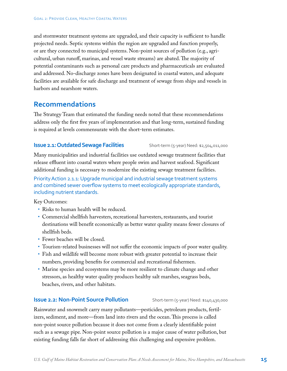and stormwater treatment systems are upgraded, and their capacity is sufficient to handle projected needs. Septic systems within the region are upgraded and function properly, or are they connected to municipal systems. Non-point sources of pollution (e.g., agricultural, urban runoff, marinas, and vessel waste streams) are abated. The majority of potential contaminants such as personal care products and pharmaceuticals are evaluated and addressed. No-discharge zones have been designated in coastal waters, and adequate facilities are available for safe discharge and treatment of sewage from ships and vessels in harbors and nearshore waters.

### **Recommendations**

The Strategy Team that estimated the funding needs noted that these recommendations address only the first five years of implementation and that long-term, sustained funding is required at levels commensurate with the short-term estimates.

### **Issue 2.1: Outdated Sewage Facilities** Short-term (5-year) Need: \$2,504,011,000

Many municipalities and industrial facilities use outdated sewage treatment facilities that release effluent into coastal waters where people swim and harvest seafood. Significant additional funding is necessary to modernize the existing sewage treatment facilities.

Priority Action 2.1.1: Upgrade municipal and industrial sewage treatment systems and combined sewer overflow systems to meet ecologically appropriate standards, including nutrient standards.

Key Outcomes:

- Risks to human health will be reduced.
- • Commercial shellfish harvesters, recreational harvesters, restaurants, and tourist destinations will benefit economically as better water quality means fewer closures of shellfish beds.
- Fewer beaches will be closed.
- • Tourism-related businesses will not suffer the economic impacts of poor water quality.
- Fish and wildlife will become more robust with greater potential to increase their numbers, providing benefits for commercial and recreational fishermen.
- Marine species and ecosystems may be more resilient to climate change and other stressors, as healthy water quality produces healthy salt marshes, seagrass beds, beaches, rivers, and other habitats.

### **Issue 2.2: Non-Point Source Pollution** Short-term (5-year) Need: \$140,430,000

Rainwater and snowmelt carry many pollutants—pesticides, petroleum products, fertilizers, sediment, and more—from land into rivers and the ocean. This process is called non-point source pollution because it does not come from a clearly identifiable point such as a sewage pipe. Non-point source pollution is a major cause of water pollution, but existing funding falls far short of addressing this challenging and expensive problem.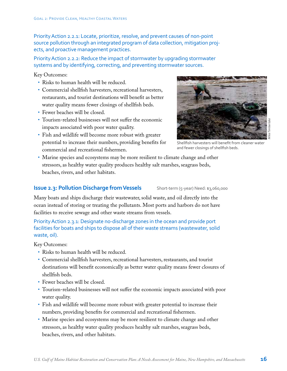Priority Action 2.2.1: Locate, prioritize, resolve, and prevent causes of non-point source pollution through an integrated program of data collection, mitigation projects, and proactive management practices.

Priority Action 2.2.2: Reduce the impact of stormwater by upgrading stormwater systems and by identifying, correcting, and preventing stormwater sources.

Key Outcomes:

- Risks to human health will be reduced.
- • Commercial shellfish harvesters, recreational harvesters, restaurants, and tourist destinations will benefit as better water quality means fewer closings of shellfish beds.
- • Fewer beaches will be closed.
- Tourism-related businesses will not suffer the economic impacts associated with poor water quality.
- Fish and wildlife will become more robust with greater potential to increase their numbers, providing benefits for commercial and recreational fishermen.



Shellfish harvesters will benefit from cleaner water and fewer closings of shellfish beds.

• Marine species and ecosystems may be more resilient to climate change and other stressors, as healthy water quality produces healthy salt marshes, seagrass beds, beaches, rivers, and other habitats.

### **Issue 2.3: Pollution Discharge from Vessels** Short-term (5-year) Need: \$3,060,000

Many boats and ships discharge their wastewater, solid waste, and oil directly into the ocean instead of storing or treating the pollutants. Most ports and harbors do not have facilities to receive sewage and other waste streams from vessels.

Priority Action 2.3.1: Designate no-discharge zones in the ocean and provide port facilities for boats and ships to dispose all of their waste streams (wastewater, solid waste, oil).

Key Outcomes:

- Risks to human health will be reduced.
- • Commercial shellfish harvesters, recreational harvesters, restaurants, and tourist destinations will benefit economically as better water quality means fewer closures of shellfish beds.
- Fewer beaches will be closed.
- • Tourism-related businesses will not suffer the economic impacts associated with poor water quality.
- • Fish and wildlife will become more robust with greater potential to increase their numbers, providing benefits for commercial and recreational fishermen.
- Marine species and ecosystems may be more resilient to climate change and other stressors, as healthy water quality produces healthy salt marshes, seagrass beds, beaches, rivers, and other habitats.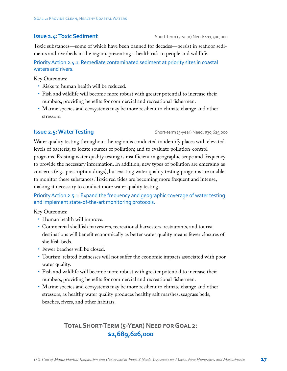### **Issue 2.4: Toxic Sediment** Short-term (5-year) Need: \$11,500,000

Toxic substances—some of which have been banned for decades—persist in seafloor sediments and riverbeds in the region, presenting a health risk to people and wildlife.

Priority Action 2.4.1: Remediate contaminated sediment at priority sites in coastal waters and rivers.

Key Outcomes:

- Risks to human health will be reduced.
- • Fish and wildlife will become more robust with greater potential to increase their numbers, providing benefits for commercial and recreational fishermen.
- Marine species and ecosystems may be more resilient to climate change and other stressors.

**Issue 2.5: Water Testing** Short-term (5-year) Need: \$30,625,000

Water quality testing throughout the region is conducted to identify places with elevated levels of bacteria; to locate sources of pollution; and to evaluate pollution-control programs. Existing water quality testing is insufficient in geographic scope and frequency to provide the necessary information. In addition, new types of pollution are emerging as concerns (e.g., prescription drugs), but existing water quality testing programs are unable to monitor these substances. Toxic red tides are becoming more frequent and intense, making it necessary to conduct more water quality testing.

Priority Action 2.5.1: Expand the frequency and geographic coverage of water testing and implement state-of-the-art monitoring protocols.

Key Outcomes:

- Human health will improve.
- • Commercial shellfish harvesters, recreational harvesters, restaurants, and tourist destinations will benefit economically as better water quality means fewer closures of shellfish beds.
- Fewer beaches will be closed.
- • Tourism-related businesses will not suffer the economic impacts associated with poor water quality.
- • Fish and wildlife will become more robust with greater potential to increase their numbers, providing benefits for commercial and recreational fishermen.
- Marine species and ecosystems may be more resilient to climate change and other stressors, as healthy water quality produces healthy salt marshes, seagrass beds, beaches, rivers, and other habitats.

## **Total Short-Term (5-Year) Need for Goal 2: \$2,689,626,000**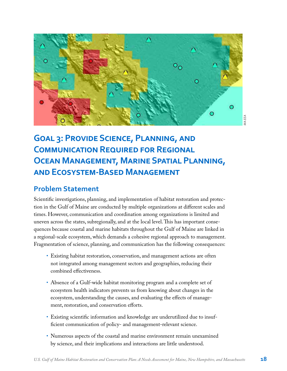

## **Goal 3: Provide Science, Planning, and COMMUNICATION REQUIRED FOR REGIONAL Ocean Management, Marine Spatial Planning, and Ecosystem-Based Management**

## **Problem Statement**

Scientific investigations, planning, and implementation of habitat restoration and protection in the Gulf of Maine are conducted by multiple organizations at different scales and times. However, communication and coordination among organizations is limited and uneven across the states, subregionally, and at the local level. This has important consequences because coastal and marine habitats throughout the Gulf of Maine are linked in a regional-scale ecosystem, which demands a cohesive regional approach to management. Fragmentation of science, planning, and communication has the following consequences:  $\begin{bmatrix} 0 & 1 & 0 \\ 0 & 0 & 1 \end{bmatrix}$  is the set of high sediment layer over  $\begin{bmatrix} 1 & 0 \\ 0 & 1 \end{bmatrix}$ f in the Guif of Maine are conducted by multiple organizations at different scales and

- Existing habitat restoration, conservation, and management actions are often not integrated among management sectors and geographies, reducing their combined effectiveness.
- Absence of a Gulf-wide habitat monitoring program and a complete set of ecosystem health indicators prevents us from knowing about changes in the ecosystem, understanding the causes, and evaluating the effects of management, restoration, and conservation efforts.
- Existing scientific information and knowledge are underutilized due to insufficient communication of policy- and management-relevant science.
- Numerous aspects of the coastal and marine environment remain unexamined by science, and their implications and interactions are little understood.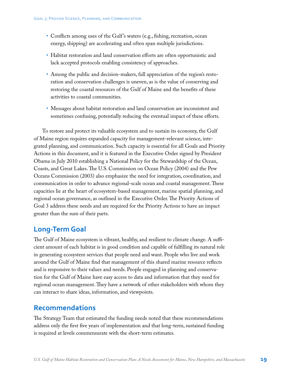- Conflicts among uses of the Gulf's waters (e.g., fishing, recreation, ocean energy, shipping) are accelerating and often span multiple jurisdictions.
- Habitat restoration and land conservation efforts are often opportunistic and lack accepted protocols enabling consistency of approaches.
- • Among the public and decision-makers, full appreciation of the region's restoration and conservation challenges is uneven, as is the value of conserving and restoring the coastal resources of the Gulf of Maine and the benefits of these activities to coastal communities.
- Messages about habitat restoration and land conservation are inconsistent and sometimes confusing, potentially reducing the eventual impact of these efforts.

To restore and protect its valuable ecosystem and to sustain its economy, the Gulf of Maine region requires expanded capacity for management-relevant science, integrated planning, and communication. Such capacity is essential for all Goals and Priority Actions in this document, and it is featured in the Executive Order signed by President Obama in July 2010 establishing a National Policy for the Stewardship of the Ocean, Coasts, and Great Lakes. The U.S. Commission on Ocean Policy (2004) and the Pew Oceans Commission (2003) also emphasize the need for integration, coordination, and communication in order to advance regional-scale ocean and coastal management. These capacities lie at the heart of ecosystem-based management, marine spatial planning, and regional ocean governance, as outlined in the Executive Order. The Priority Actions of Goal 3 address these needs and are required for the Priority Actions to have an impact greater than the sum of their parts.

## **Long-Term Goal**

The Gulf of Maine ecosystem is vibrant, healthy, and resilient to climate change. A sufficient amount of each habitat is in good condition and capable of fulfilling its natural role in generating ecosystem services that people need and want. People who live and work around the Gulf of Maine find that management of this shared marine resource reflects and is responsive to their values and needs. People engaged in planning and conservation for the Gulf of Maine have easy access to data and information that they need for regional ocean management. They have a network of other stakeholders with whom they can interact to share ideas, information, and viewpoints.

### **Recommendations**

The Strategy Team that estimated the funding needs noted that these recommendations address only the first five years of implementation and that long-term, sustained funding is required at levels commensurate with the short-term estimates.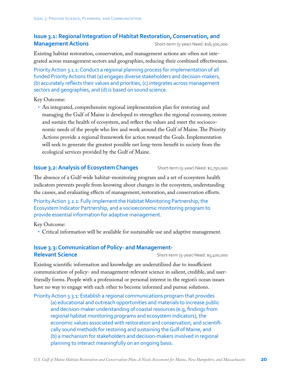### **Issue 3.1: Regional Integration of Habitat Restoration, Conservation, and Management Actions** Short-term (5-year) Need: \$16,500,000

Existing habitat restoration, conservation, and management actions are often not integrated across management sectors and geographies, reducing their combined effectiveness.

Priority Action 3.1.1: Conduct a regional planning process for implementation of all funded Priority Actions that (a) engages diverse stakeholders and decision-makers, (b) accurately reflects their values and priorities, (c) integrates across management sectors and geographies, and (d) is based on sound science.

Key Outcome:

• An integrated, comprehensive regional implementation plan for restoring and managing the Gulf of Maine is developed to strengthen the regional economy, restore and sustain the health of ecosystem, and reflect the values and meet the socioeconomic needs of the people who live and work around the Gulf of Maine. The Priority Actions provide a regional framework for action toward the Goals. Implementation will seek to generate the greatest possible net long-term benefit to society from the ecological services provided by the Gulf of Maine.

### **Issue 3.2: Analysis of Ecosystem Changes** Short-term (5-year) Need: \$1,750,000

The absence of a Gulf-wide habitat-monitoring program and a set of ecosystem health indicators prevents people from knowing about changes in the ecosystem, understanding the causes, and evaluating effects of management, restoration, and conservation efforts.

Priority Action 3.2.1: Fully implement the Habitat Monitoring Partnership, the Ecosystem Indicator Partnership, and a socioeconomic monitoring program to provide essential information for adaptive management.

Key Outcome:

• Critical information will be available for sustainable use and adaptive management.

### **Issue 3.3: Communication of Policy- and Management-Relevant Science** Short-term (5-year) Need: \$3,400,000

Existing scientific information and knowledge are underutilized due to insufficient communication of policy- and management-relevant science in salient, credible, and userfriendly forms. People with a professional or personal interest in the region's ocean issues have no way to engage with each other to become informed and pursue solutions.

Priority Action 3.3.1: Establish a regional communications program that provides (a) educational and outreach opportunities and materials to increase public and decision-maker understanding of coastal resources (e.g, findings from regional habitat monitoring programs and ecosystem indicators), the economic values associated with restoration and conservation, and scientifically sound methods for restoring and sustaining the Gulf of Maine, and (b) a mechanism for stakeholders and decision-makers involved in regional planning to interact meaningfully on an ongoing basis.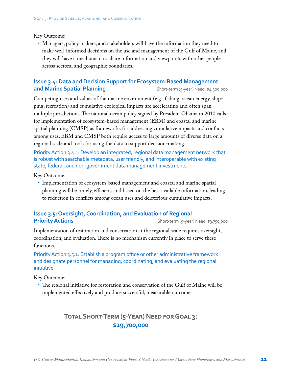Key Outcome:

• Managers, policy makers, and stakeholders will have the information they need to make well-informed decisions on the use and management of the Gulf of Maine, and they will have a mechanism to share information and viewpoints with other people across sectoral and geographic boundaries.

### **Issue 3.4: Data and Decision Support for Ecosystem-Based Management and Marine Spatial Planning** Short-term (5-year) Need: \$4,300,000

Competing uses and values of the marine environment (e.g., fishing, ocean energy, shipping, recreation) and cumulative ecological impacts are accelerating and often span multiple jurisdictions. The national ocean policy signed by President Obama in 2010 calls for implementation of ecosystem-based management (EBM) and coastal and marine spatial planning (CMSP) as frameworks for addressing cumulative impacts and conflicts among uses. EBM and CMSP both require access to large amounts of diverse data on a regional scale and tools for using the data to support decision-making.

Priority Action 3.4.1: Develop an integrated, regional data management network that is robust with searchable metadata, user friendly, and interoperable with existing state, federal, and non-government data management investments.

Key Outcome:

• Implementation of ecosystem-based management and coastal and marine spatial planning will be timely, efficient, and based on the best available information, leading to reduction in conflicts among ocean uses and deleterious cumulative impacts.

### **Issue 3.5: Oversight, Coordination, and Evaluation of Regional Priority Actions** Short-term (5-year) Need: \$3,750,000

Implementation of restoration and conservation at the regional scale requires oversight, coordination, and evaluation. There is no mechanism currently in place to serve these functions.

Priority Action 3.5.1: Establish a program office or other administrative framework and designate personnel for managing, coordinating, and evaluating the regional initiative.

Key Outcome:

• The regional initiative for restoration and conservation of the Gulf of Maine will be implemented effectively and produce successful, measurable outcomes.

## **Total Short-Term (5-Year) Need for Goal 3: \$29,700,000**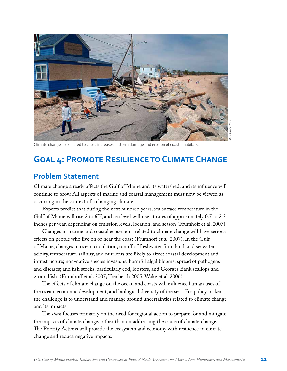

*Mike Timberlake*

Climate change is expected to cause increases in storm damage and erosion of coastal habitats.

## **Goal 4: Promote Resilience to Climate Change**

### **Problem Statement**

Climate change already affects the Gulf of Maine and its watershed, and its influence will continue to grow. All aspects of marine and coastal management must now be viewed as occurring in the context of a changing climate.

Experts predict that during the next hundred years, sea surface temperature in the Gulf of Maine will rise 2 to 6°F, and sea level will rise at rates of approximately 0.7 to 2.3 inches per year, depending on emission levels, location, and season (Frumhoff et al. 2007).

Changes in marine and coastal ecosystems related to climate change will have serious effects on people who live on or near the coast (Frumhoff et al. 2007). In the Gulf of Maine, changes in ocean circulation, runoff of freshwater from land, and seawater acidity, temperature, salinity, and nutrients are likely to affect coastal development and infrastructure; non-native species invasions; harmful algal blooms; spread of pathogens and diseases; and fish stocks, particularly cod, lobsters, and Georges Bank scallops and groundfish (Frumhoff et al. 2007; Trenberth 2005; Wake et al. 2006).

The effects of climate change on the ocean and coasts will influence human uses of the ocean, economic development, and biological diversity of the seas. For policy makers, the challenge is to understand and manage around uncertainties related to climate change and its impacts.

The *Plan* focuses primarily on the need for regional action to prepare for and mitigate the impacts of climate change, rather than on addressing the cause of climate change. The Priority Actions will provide the ecosystem and economy with resilience to climate change and reduce negative impacts.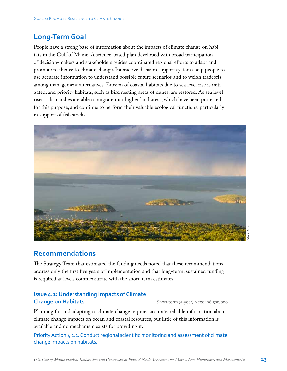## **Long-Term Goal**

People have a strong base of information about the impacts of climate change on habitats in the Gulf of Maine. A science-based plan developed with broad participation of decision-makers and stakeholders guides coordinated regional efforts to adapt and promote resilience to climate change. Interactive decision support systems help people to use accurate information to understand possible future scenarios and to weigh tradeoffs among management alternatives. Erosion of coastal habitats due to sea level rise is mitigated, and priority habitats, such as bird nesting areas of dunes, are restored. As sea level rises, salt marshes are able to migrate into higher land areas, which have been protected for this purpose, and continue to perform their valuable ecological functions, particularly in support of fish stocks.



## **Recommendations**

The Strategy Team that estimated the funding needs noted that these recommendations address only the first five years of implementation and that long-term, sustained funding is required at levels commensurate with the short-term estimates.

### **Issue 4.1: Understanding Impacts of Climate Change on Habitats Short-term (5-year) Need: \$8,500,000**

Planning for and adapting to climate change requires accurate, reliable information about climate change impacts on ocean and coastal resources, but little of this information is available and no mechanism exists for providing it.

Priority Action 4.1.1: Conduct regional scientific monitoring and assessment of climate change impacts on habitats.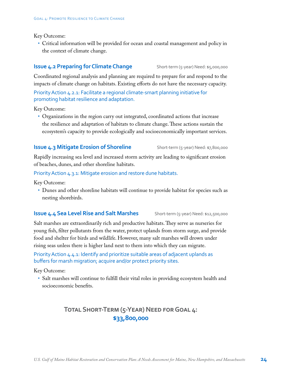Key Outcome:

• Critical information will be provided for ocean and coastal management and policy in the context of climate change.

### **Issue 4.2 Preparing for Climate Change** Short-term (5-year) Need: \$5,000,000

Coordinated regional analysis and planning are required to prepare for and respond to the impacts of climate change on habitats. Existing efforts do not have the necessary capacity.

Priority Action 4.2.1: Facilitate a regional climate-smart planning initiative for promoting habitat resilience and adaptation.

Key Outcome:

• Organizations in the region carry out integrated, coordinated actions that increase the resilience and adaptation of habitats to climate change. These actions sustain the ecosystem's capacity to provide ecologically and socioeconomically important services.

### **Issue 4.3 Mitigate Erosion of Shoreline** Short-term (5-year) Need: \$7,800,000

Rapidly increasing sea level and increased storm activity are leading to significant erosion of beaches, dunes, and other shoreline habitats.

Priority Action 4.3.1: Mitigate erosion and restore dune habitats.

Key Outcome:

• Dunes and other shoreline habitats will continue to provide habitat for species such as nesting shorebirds.

### **Issue 4.4 Sea Level Rise and Salt Marshes** Short-term (5-year) Need: \$12,500,000

Salt marshes are extraordinarily rich and productive habitats. They serve as nurseries for young fish, filter pollutants from the water, protect uplands from storm surge, and provide food and shelter for birds and wildlife. However, many salt marshes will drown under rising seas unless there is higher land next to them into which they can migrate.

Priority Action 4.4.1: Identify and prioritize suitable areas of adjacent uplands as buffers for marsh migration; acquire and/or protect priority sites.

Key Outcome:

• Salt marshes will continue to fulfill their vital roles in providing ecosystem health and socioeconomic benefits.

## **Total Short-Term (5-Year) Need for Goal 4: \$33,800,000**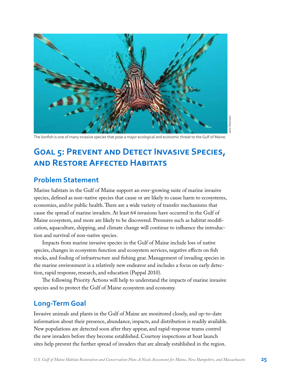

ens Petersen *Jens Petersen*

The lionfish is one of many invasive species that pose a major ecological and economic threat to the Gulf of Maine.

## **Goal 5: Prevent and Detect Invasive Species, and Restore Affected Habitats**

## **Problem Statement**

Marine habitats in the Gulf of Maine support an ever-growing suite of marine invasive species, defined as non-native species that cause or are likely to cause harm to ecosystems, economies, and/or public health. There are a wide variety of transfer mechanisms that cause the spread of marine invaders. At least 64 invasions have occurred in the Gulf of Maine ecosystem, and more are likely to be discovered. Pressures such as habitat modification, aquaculture, shipping, and climate change will continue to influence the introduction and survival of non-native species.

Impacts from marine invasive species in the Gulf of Maine include loss of native species, changes in ecosystem function and ecosystem services, negative effects on fish stocks, and fouling of infrastructure and fishing gear. Management of invading species in the marine environment is a relatively new endeavor and includes a focus on early detection, rapid response, research, and education (Pappal 2010).

The following Priority Actions will help to understand the impacts of marine invasive species and to protect the Gulf of Maine ecosystem and economy.

## **Long-Term Goal**

Invasive animals and plants in the Gulf of Maine are monitored closely, and up-to-date information about their presence, abundance, impacts, and distribution is readily available. New populations are detected soon after they appear, and rapid-response teams control the new invaders before they become established. Courtesy inspections at boat launch sites help prevent the further spread of invaders that are already established in the region.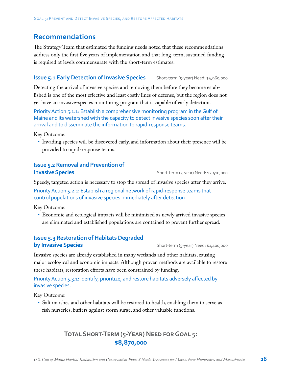## **Recommendations**

The Strategy Team that estimated the funding needs noted that these recommendations address only the first five years of implementation and that long-term, sustained funding is required at levels commensurate with the short-term estimates.

### **Issue 5.1 Early Detection of Invasive Species** Short-term (5-year) Need: \$4,960,000

Detecting the arrival of invasive species and removing them before they become established is one of the most effective and least costly lines of defense, but the region does not yet have an invasive-species monitoring program that is capable of early detection.

Priority Action 5.1.1: Establish a comprehensive monitoring program in the Gulf of Maine and its watershed with the capacity to detect invasive species soon after their arrival and to disseminate the information to rapid-response teams.

Key Outcome:

• Invading species will be discovered early, and information about their presence will be provided to rapid-response teams.

### **Issue 5.2 Removal and Prevention of Invasive Species Invasive Species Short-term** (5-year) Need: \$2,510,000

Speedy, targeted action is necessary to stop the spread of invasive species after they arrive. Priority Action 5.2.1: Establish a regional network of rapid-response teams that control populations of invasive species immediately after detection.

Key Outcome:

• Economic and ecological impacts will be minimized as newly arrived invasive species are eliminated and established populations are contained to prevent further spread.

### **Issue 5.3 Restoration of Habitats Degraded by Invasive Species** Short-term (5-year) Need: \$1,400,000

Invasive species are already established in many wetlands and other habitats, causing major ecological and economic impacts. Although proven methods are available to restore these habitats, restoration efforts have been constrained by funding.

### Priority Action 5.3.1: Identify, prioritize, and restore habitats adversely affected by invasive species.

Key Outcome:

• Salt marshes and other habitats will be restored to health, enabling them to serve as fish nurseries, buffers against storm surge, and other valuable functions.

## **Total Short-Term (5-Year) Need for Goal 5: \$8,870,000**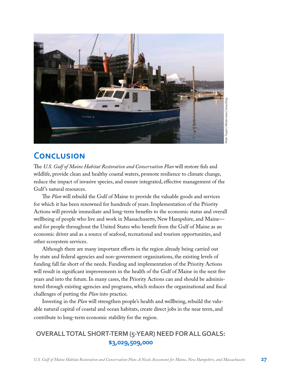

## **Conclusion**

The *U.S. Gulf of Maine Habitat Restoration and Conservation Plan* will restore fish and wildlife, provide clean and healthy coastal waters, promote resilience to climate change, reduce the impact of invasive species, and ensure integrated, effective management of the Gulf's natural resources.

The *Plan* will rebuild the Gulf of Maine to provide the valuable goods and services for which it has been renowned for hundreds of years. Implementation of the Priority Actions will provide immediate and long-term benefits to the economic status and overall wellbeing of people who live and work in Massachusetts, New Hampshire, and Maine and for people throughout the United States who benefit from the Gulf of Maine as an economic driver and as a source of seafood, recreational and tourism opportunities, and other ecosystem services.

Although there are many important efforts in the region already being carried out by state and federal agencies and non-government organizations, the existing levels of funding fall far short of the needs. Funding and implementation of the Priority Actions will result in significant improvements in the health of the Gulf of Maine in the next five years and into the future. In many cases, the Priority Actions can and should be administered through existing agencies and programs, which reduces the organizational and fiscal challenges of putting the *Plan* into practice.

Investing in the *Plan* will strengthen people's health and wellbeing, rebuild the valuable natural capital of coastal and ocean habitats, create direct jobs in the near term, and contribute to long-term economic stability for the region.

## **OVERALL TOTAL SHORT-TERM (5-YEAR) NEED FOR ALL GOALS: \$3,029,509,000**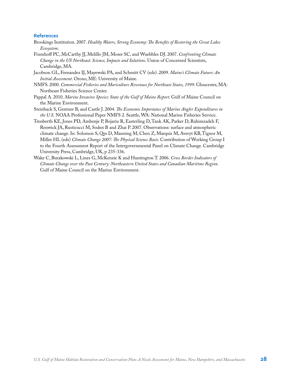### **References**

- Brookings Institution. 2007. *Healthy Waters, Strong Economy: The Benefits of Restoring the Great Lakes Ecosystem*.
- Frumhoff PC, McCarthy JJ, Melillo JM, Moser SC, and Wuebbles DJ. 2007. *Confronting Climate Change in the US Northeast: Science, Impacts and Solutions*. Union of Concerned Scientists, Cambridge, MA.
- Jacobson GL, Fernandez IJ, Mayewski PA, and Schmitt CV (eds). 2009. *Maine's Climate Future: An Initial Assessment*. Orono, ME: University of Maine.
- NMFS. 2000. *Commercial Fisheries and Mariculture Revenues for Northeast States, 1999*. Gloucester, MA: Northeast Fisheries Science Center.
- Pappal A. 2010. *Marine Invasive Species: State of the Gulf of Maine Report*. Gulf of Maine Council on the Marine Environment.
- Steinback S, Gentner B, and Castle J. 2004. *The Economic Importance of Marine Angler Expenditures in the U.S.* NOAA Professional Paper NMFS 2. Seattle, WA: National Marine Fisheries Service.
- Trenberth KE, Jones PD, Ambenje P, Bojariu R, Easterling D, Tank AK, Parker D, Rahimzadeh F, Renwick JA, Rusticucci M, Soden B and Zhai P. 2007. Observations: surface and atmospheric climate change. In: Solomon S, Qin D, Manning M, Chen Z, Marquis M, Averyt KB, Tignor M, Miller HL (eds) *Climate Change 2007: The Physical Science Basis*. Contribution of Working Group I to the Fourth Assessment Report of the Intergovernmental Panel on Climate Change. Cambridge University Press, Cambridge, UK, p 235-336.
- Wake C, Burakowski L, Lines G, McKenzie K and Huntington T. 2006. *Cross Border Indicators of Climate Change over the Past Century: Northeastern United States and Canadian Maritime Region*. Gulf of Maine Council on the Marine Environment.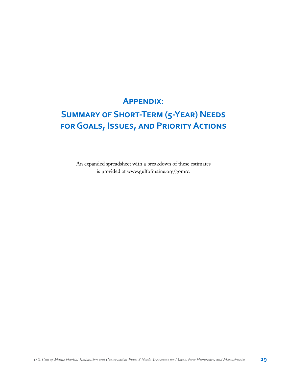## **Appendix:**

## **Summary of Short-Term (5-Year) Needs for Goals, Issues, and Priority Actions**

An expanded spreadsheet with a breakdown of these estimates is provided at [www.gulfofmaine.org/gomrc.](http://www.gulfofmaine.org/gomrc)